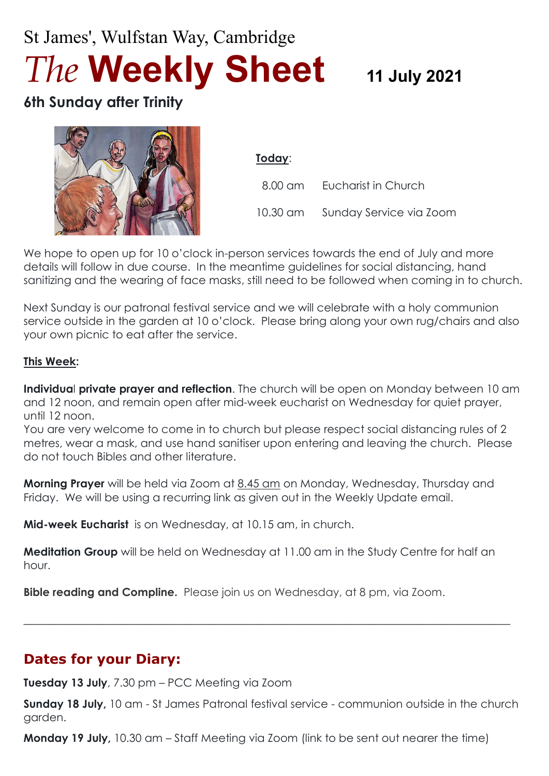# St James', Wulfstan Way, Cambridge *The* **Weekly Sheet <sup>11</sup> July <sup>2021</sup>**

## **6th Sunday after Trinity**



**Today**:

 8.00 am Eucharist in Church 10.30 am Sunday Service via Zoom

We hope to open up for 10 o'clock in-person services towards the end of July and more details will follow in due course. In the meantime guidelines for social distancing, hand sanitizing and the wearing of face masks, still need to be followed when coming in to church.

Next Sunday is our patronal festival service and we will celebrate with a holy communion service outside in the garden at 10 o'clock. Please bring along your own rug/chairs and also your own picnic to eat after the service.

#### **This Week:**

**Individua**l **private prayer and reflection**. The church will be open on Monday between 10 am and 12 noon, and remain open after mid-week eucharist on Wednesday for quiet prayer, until 12 noon.

You are very welcome to come in to church but please respect social distancing rules of 2 metres, wear a mask, and use hand sanitiser upon entering and leaving the church. Please do not touch Bibles and other literature.

**Morning Prayer** will be held via Zoom at 8.45 am on Monday, Wednesday, Thursday and Friday. We will be using a recurring link as given out in the Weekly Update email.

**Mid-week Eucharist** is on Wednesday, at 10.15 am, in church.

**Meditation Group** will be held on Wednesday at 11.00 am in the Study Centre for half an hour.

 $\_$  , and the set of the set of the set of the set of the set of the set of the set of the set of the set of the set of the set of the set of the set of the set of the set of the set of the set of the set of the set of th

**Bible reading and Compline.** Please join us on Wednesday, at 8 pm, via Zoom.

## **Dates for your Diary:**

**Tuesday 13 July**, 7.30 pm – PCC Meeting via Zoom

**Sunday 18 July,** 10 am - St James Patronal festival service - communion outside in the church garden.

**Monday 19 July,** 10.30 am – Staff Meeting via Zoom (link to be sent out nearer the time)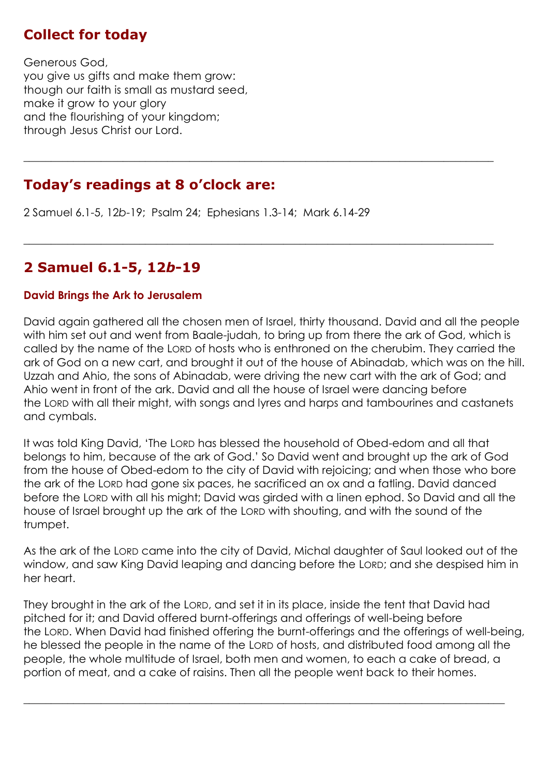## **Collect for today**

Generous God, you give us gifts and make them grow: though our faith is small as mustard seed, make it grow to your glory and the flourishing of your kingdom; through Jesus Christ our Lord.

#### **Today's readings at 8 o'clock are:**

2 Samuel 6.1-5, 12*b*-19; Psalm 24; Ephesians 1.3-14; Mark 6.14-29

## **2 Samuel 6.1-5, 12***b***-19**

#### **David Brings the Ark to Jerusalem**

David again gathered all the chosen men of Israel, thirty thousand. David and all the people with him set out and went from Baale-judah, to bring up from there the ark of God, which is called by the name of the LORD of hosts who is enthroned on the cherubim. They carried the ark of God on a new cart, and brought it out of the house of Abinadab, which was on the hill. Uzzah and Ahio, the sons of Abinadab, were driving the new cart with the ark of God; and Ahio went in front of the ark. David and all the house of Israel were dancing before the LORD with all their might, with songs and lyres and harps and tambourines and castanets and cymbals.

**\_\_\_\_\_\_\_\_\_\_\_\_\_\_\_\_\_\_\_\_\_\_\_\_\_\_\_\_\_\_\_\_\_\_\_\_\_\_\_\_\_\_\_\_\_\_\_\_\_\_\_\_\_\_\_\_\_\_\_\_\_\_\_\_\_\_\_\_\_\_\_\_\_\_\_\_\_\_\_\_\_\_\_\_\_**

 $\_$  , and the set of the set of the set of the set of the set of the set of the set of the set of the set of the set of the set of the set of the set of the set of the set of the set of the set of the set of the set of th

It was told King David, 'The LORD has blessed the household of Obed-edom and all that belongs to him, because of the ark of God.' So David went and brought up the ark of God from the house of Obed-edom to the city of David with rejoicing; and when those who bore the ark of the LORD had gone six paces, he sacrificed an ox and a fatling. David danced before the LORD with all his might; David was girded with a linen ephod. So David and all the house of Israel brought up the ark of the LORD with shouting, and with the sound of the trumpet.

As the ark of the LORD came into the city of David, Michal daughter of Saul looked out of the window, and saw King David leaping and dancing before the LORD; and she despised him in her heart.

They brought in the ark of the LORD, and set it in its place, inside the tent that David had pitched for it; and David offered burnt-offerings and offerings of well-being before the LORD. When David had finished offering the burnt-offerings and the offerings of well-being, he blessed the people in the name of the LORD of hosts, and distributed food among all the people, the whole multitude of Israel, both men and women, to each a cake of bread, a portion of meat, and a cake of raisins. Then all the people went back to their homes.

 $\_$  , and the set of the set of the set of the set of the set of the set of the set of the set of the set of the set of the set of the set of the set of the set of the set of the set of the set of the set of the set of th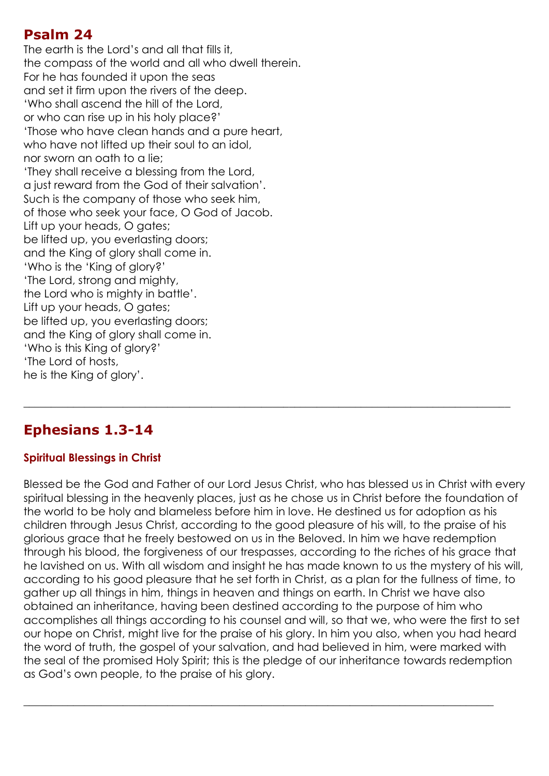#### **Psalm 24**

The earth is the Lord's and all that fills it, the compass of the world and all who dwell therein. For he has founded it upon the seas and set it firm upon the rivers of the deep. 'Who shall ascend the hill of the Lord, or who can rise up in his holy place?' 'Those who have clean hands and a pure heart, who have not lifted up their soul to an idol, nor sworn an oath to a lie; 'They shall receive a blessing from the Lord, a just reward from the God of their salvation'. Such is the company of those who seek him, of those who seek your face, O God of Jacob. Lift up your heads, O gates; be lifted up, you everlasting doors; and the King of glory shall come in. 'Who is the 'King of glory?' 'The Lord, strong and mighty, the Lord who is mighty in battle'. Lift up your heads, O gates; be lifted up, you everlasting doors; and the King of glory shall come in. 'Who is this King of glory?' 'The Lord of hosts, he is the King of glory'.

## **Ephesians 1.3-14**

#### **Spiritual Blessings in Christ**

Blessed be the God and Father of our Lord Jesus Christ, who has blessed us in Christ with every spiritual blessing in the heavenly places, just as he chose us in Christ before the foundation of the world to be holy and blameless before him in love. He destined us for adoption as his children through Jesus Christ, according to the good pleasure of his will, to the praise of his glorious grace that he freely bestowed on us in the Beloved. In him we have redemption through his blood, the forgiveness of our trespasses, according to the riches of his grace that he lavished on us. With all wisdom and insight he has made known to us the mystery of his will, according to his good pleasure that he set forth in Christ, as a plan for the fullness of time, to gather up all things in him, things in heaven and things on earth. In Christ we have also obtained an inheritance, having been destined according to the purpose of him who accomplishes all things according to his counsel and will, so that we, who were the first to set our hope on Christ, might live for the praise of his glory. In him you also, when you had heard the word of truth, the gospel of your salvation, and had believed in him, were marked with the seal of the promised Holy Spirit; this is the pledge of our inheritance towards redemption as God's own people, to the praise of his glory.

 $\_$  , and the set of the set of the set of the set of the set of the set of the set of the set of the set of the set of the set of the set of the set of the set of the set of the set of the set of the set of the set of th

 $\_$  , and the set of the set of the set of the set of the set of the set of the set of the set of the set of the set of the set of the set of the set of the set of the set of the set of the set of the set of the set of th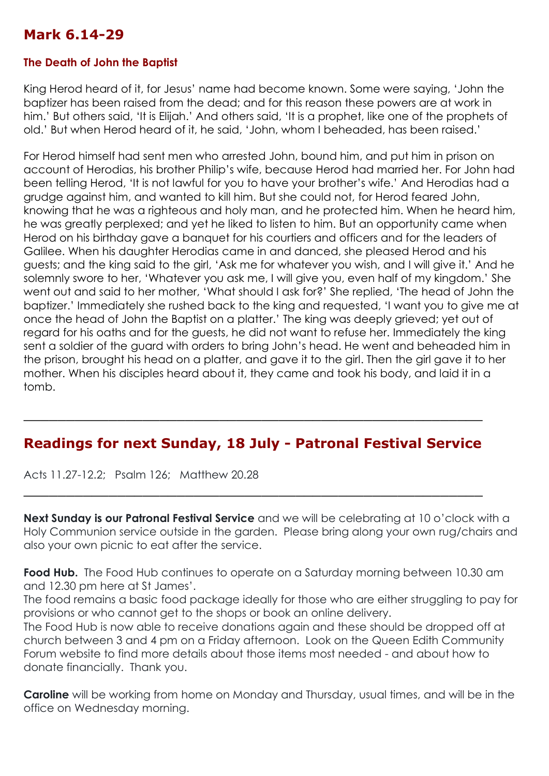#### **Mark 6.14-29**

#### **The Death of John the Baptist**

King Herod heard of it, for Jesus' name had become known. Some were saying, 'John the baptizer has been raised from the dead; and for this reason these powers are at work in him.' But others said, 'It is Elijah.' And others said, 'It is a prophet, like one of the prophets of old.' But when Herod heard of it, he said, 'John, whom I beheaded, has been raised.'

For Herod himself had sent men who arrested John, bound him, and put him in prison on account of Herodias, his brother Philip's wife, because Herod had married her. For John had been telling Herod, 'It is not lawful for you to have your brother's wife.' And Herodias had a grudge against him, and wanted to kill him. But she could not, for Herod feared John, knowing that he was a righteous and holy man, and he protected him. When he heard him, he was greatly perplexed; and yet he liked to listen to him. But an opportunity came when Herod on his birthday gave a banquet for his courtiers and officers and for the leaders of Galilee. When his daughter Herodias came in and danced, she pleased Herod and his guests; and the king said to the girl, 'Ask me for whatever you wish, and I will give it.' And he solemnly swore to her, 'Whatever you ask me, I will give you, even half of my kingdom.' She went out and said to her mother, 'What should I ask for?' She replied, 'The head of John the baptizer.' Immediately she rushed back to the king and requested, 'I want you to give me at once the head of John the Baptist on a platter.' The king was deeply grieved; yet out of regard for his oaths and for the guests, he did not want to refuse her. Immediately the king sent a soldier of the guard with orders to bring John's head. He went and beheaded him in the prison, brought his head on a platter, and gave it to the girl. Then the girl gave it to her mother. When his disciples heard about it, they came and took his body, and laid it in a tomb.

#### **Readings for next Sunday, 18 July - Patronal Festival Service**

 $\_$  , and the set of the set of the set of the set of the set of the set of the set of the set of the set of the set of the set of the set of the set of the set of the set of the set of the set of the set of the set of th

\_\_\_\_\_\_\_\_\_\_\_\_\_\_\_\_\_\_\_\_\_\_\_\_\_\_\_\_\_\_\_\_\_\_\_\_\_\_\_\_\_\_\_\_\_\_\_\_\_\_\_\_\_\_

Acts 11.27-12.2; Psalm 126; Matthew 20.28

**Next Sunday is our Patronal Festival Service** and we will be celebrating at 10 o'clock with a Holy Communion service outside in the garden. Please bring along your own rug/chairs and also your own picnic to eat after the service.

**Food Hub.** The Food Hub continues to operate on a Saturday morning between 10.30 am and 12.30 pm here at St James'.

The food remains a basic food package ideally for those who are either struggling to pay for provisions or who cannot get to the shops or book an online delivery.

The Food Hub is now able to receive donations again and these should be dropped off at church between 3 and 4 pm on a Friday afternoon. Look on the Queen Edith Community Forum website to find more details about those items most needed - and about how to donate financially. Thank you.

**Caroline** will be working from home on Monday and Thursday, usual times, and will be in the office on Wednesday morning.